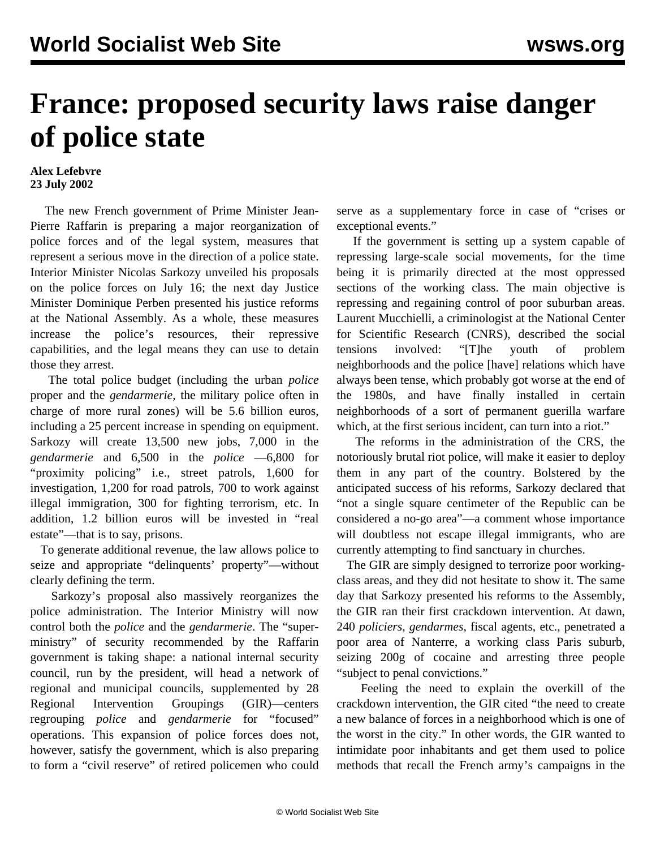## **France: proposed security laws raise danger of police state**

## **Alex Lefebvre 23 July 2002**

 The new French government of Prime Minister Jean-Pierre Raffarin is preparing a major reorganization of police forces and of the legal system, measures that represent a serious move in the direction of a police state. Interior Minister Nicolas Sarkozy unveiled his proposals on the police forces on July 16; the next day Justice Minister Dominique Perben presented his justice reforms at the National Assembly. As a whole, these measures increase the police's resources, their repressive capabilities, and the legal means they can use to detain those they arrest.

 The total police budget (including the urban *police* proper and the *gendarmerie*, the military police often in charge of more rural zones) will be 5.6 billion euros, including a 25 percent increase in spending on equipment. Sarkozy will create 13,500 new jobs, 7,000 in the *gendarmerie* and 6,500 in the *police* —6,800 for "proximity policing" i.e., street patrols, 1,600 for investigation, 1,200 for road patrols, 700 to work against illegal immigration, 300 for fighting terrorism, etc. In addition, 1.2 billion euros will be invested in "real estate"—that is to say, prisons.

 To generate additional revenue, the law allows police to seize and appropriate "delinquents' property"—without clearly defining the term.

 Sarkozy's proposal also massively reorganizes the police administration. The Interior Ministry will now control both the *police* and the *gendarmerie*. The "superministry" of security recommended by the Raffarin government is taking shape: a national internal security council, run by the president, will head a network of regional and municipal councils, supplemented by 28 Regional Intervention Groupings (GIR)—centers regrouping *police* and *gendarmerie* for "focused" operations. This expansion of police forces does not, however, satisfy the government, which is also preparing to form a "civil reserve" of retired policemen who could

serve as a supplementary force in case of "crises or exceptional events."

 If the government is setting up a system capable of repressing large-scale social movements, for the time being it is primarily directed at the most oppressed sections of the working class. The main objective is repressing and regaining control of poor suburban areas. Laurent Mucchielli, a criminologist at the National Center for Scientific Research (CNRS), described the social tensions involved: "[T]he youth of problem neighborhoods and the police [have] relations which have always been tense, which probably got worse at the end of the 1980s, and have finally installed in certain neighborhoods of a sort of permanent guerilla warfare which, at the first serious incident, can turn into a riot."

 The reforms in the administration of the CRS, the notoriously brutal riot police, will make it easier to deploy them in any part of the country. Bolstered by the anticipated success of his reforms, Sarkozy declared that "not a single square centimeter of the Republic can be considered a no-go area"—a comment whose importance will doubtless not escape illegal immigrants, who are currently attempting to find sanctuary in churches.

 The GIR are simply designed to terrorize poor workingclass areas, and they did not hesitate to show it. The same day that Sarkozy presented his reforms to the Assembly, the GIR ran their first crackdown intervention. At dawn, 240 *policiers*, *gendarmes*, fiscal agents, etc., penetrated a poor area of Nanterre, a working class Paris suburb, seizing 200g of cocaine and arresting three people "subject to penal convictions."

 Feeling the need to explain the overkill of the crackdown intervention, the GIR cited "the need to create a new balance of forces in a neighborhood which is one of the worst in the city." In other words, the GIR wanted to intimidate poor inhabitants and get them used to police methods that recall the French army's campaigns in the